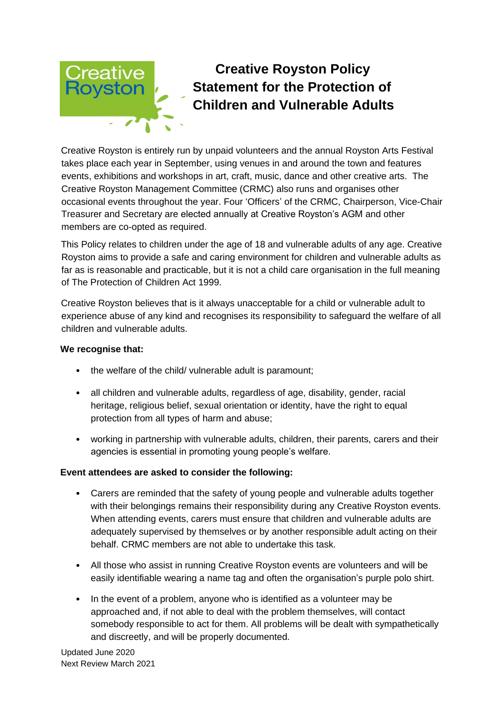# **Creative Royston Policy Statement for the Protection of Children and Vulnerable Adults**

Creative Royston is entirely run by unpaid volunteers and the annual Royston Arts Festival takes place each year in September, using venues in and around the town and features events, exhibitions and workshops in art, craft, music, dance and other creative arts. The Creative Royston Management Committee (CRMC) also runs and organises other occasional events throughout the year. Four 'Officers' of the CRMC, Chairperson, Vice-Chair Treasurer and Secretary are elected annually at Creative Royston's AGM and other members are co-opted as required.

This Policy relates to children under the age of 18 and vulnerable adults of any age. Creative Royston aims to provide a safe and caring environment for children and vulnerable adults as far as is reasonable and practicable, but it is not a child care organisation in the full meaning of The Protection of Children Act 1999.

Creative Royston believes that is it always unacceptable for a child or vulnerable adult to experience abuse of any kind and recognises its responsibility to safeguard the welfare of all children and vulnerable adults.

## **We recognise that:**

- the welfare of the child/ vulnerable adult is paramount;
- all children and vulnerable adults, regardless of age, disability, gender, racial heritage, religious belief, sexual orientation or identity, have the right to equal protection from all types of harm and abuse;
- working in partnership with vulnerable adults, children, their parents, carers and their agencies is essential in promoting young people's welfare.

# **Event attendees are asked to consider the following:**

- Carers are reminded that the safety of young people and vulnerable adults together with their belongings remains their responsibility during any Creative Royston events. When attending events, carers must ensure that children and vulnerable adults are adequately supervised by themselves or by another responsible adult acting on their behalf. CRMC members are not able to undertake this task.
- All those who assist in running Creative Royston events are volunteers and will be easily identifiable wearing a name tag and often the organisation's purple polo shirt.
- In the event of a problem, anyone who is identified as a volunteer may be approached and, if not able to deal with the problem themselves, will contact somebody responsible to act for them. All problems will be dealt with sympathetically and discreetly, and will be properly documented.

Updated June 2020 Next Review March 2021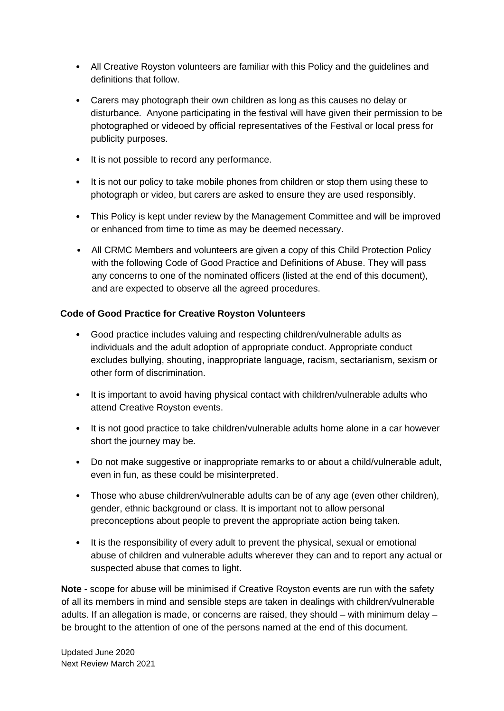- All Creative Royston volunteers are familiar with this Policy and the guidelines and definitions that follow.
- Carers may photograph their own children as long as this causes no delay or disturbance. Anyone participating in the festival will have given their permission to be photographed or videoed by official representatives of the Festival or local press for publicity purposes.
- It is not possible to record any performance.
- It is not our policy to take mobile phones from children or stop them using these to photograph or video, but carers are asked to ensure they are used responsibly.
- This Policy is kept under review by the Management Committee and will be improved or enhanced from time to time as may be deemed necessary.
- All CRMC Members and volunteers are given a copy of this Child Protection Policy with the following Code of Good Practice and Definitions of Abuse. They will pass any concerns to one of the nominated officers (listed at the end of this document), and are expected to observe all the agreed procedures.

# **Code of Good Practice for Creative Royston Volunteers**

- Good practice includes valuing and respecting children/vulnerable adults as individuals and the adult adoption of appropriate conduct. Appropriate conduct excludes bullying, shouting, inappropriate language, racism, sectarianism, sexism or other form of discrimination.
- It is important to avoid having physical contact with children/vulnerable adults who attend Creative Royston events.
- It is not good practice to take children/vulnerable adults home alone in a car however short the journey may be.
- Do not make suggestive or inappropriate remarks to or about a child/vulnerable adult, even in fun, as these could be misinterpreted.
- Those who abuse children/vulnerable adults can be of any age (even other children), gender, ethnic background or class. It is important not to allow personal preconceptions about people to prevent the appropriate action being taken.
- It is the responsibility of every adult to prevent the physical, sexual or emotional abuse of children and vulnerable adults wherever they can and to report any actual or suspected abuse that comes to light.

**Note** - scope for abuse will be minimised if Creative Royston events are run with the safety of all its members in mind and sensible steps are taken in dealings with children/vulnerable adults. If an allegation is made, or concerns are raised, they should – with minimum delay – be brought to the attention of one of the persons named at the end of this document.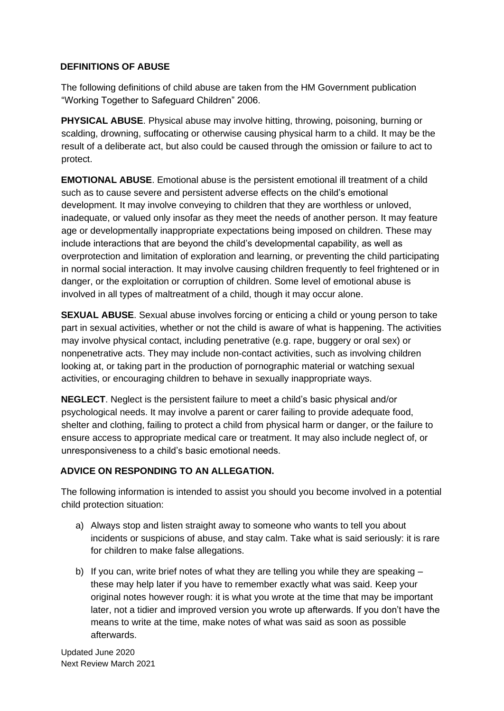## **DEFINITIONS OF ABUSE**

The following definitions of child abuse are taken from the HM Government publication "Working Together to Safeguard Children" 2006.

**PHYSICAL ABUSE**. Physical abuse may involve hitting, throwing, poisoning, burning or scalding, drowning, suffocating or otherwise causing physical harm to a child. It may be the result of a deliberate act, but also could be caused through the omission or failure to act to protect.

**EMOTIONAL ABUSE**. Emotional abuse is the persistent emotional ill treatment of a child such as to cause severe and persistent adverse effects on the child's emotional development. It may involve conveying to children that they are worthless or unloved, inadequate, or valued only insofar as they meet the needs of another person. It may feature age or developmentally inappropriate expectations being imposed on children. These may include interactions that are beyond the child's developmental capability, as well as overprotection and limitation of exploration and learning, or preventing the child participating in normal social interaction. It may involve causing children frequently to feel frightened or in danger, or the exploitation or corruption of children. Some level of emotional abuse is involved in all types of maltreatment of a child, though it may occur alone.

**SEXUAL ABUSE**. Sexual abuse involves forcing or enticing a child or young person to take part in sexual activities, whether or not the child is aware of what is happening. The activities may involve physical contact, including penetrative (e.g. rape, buggery or oral sex) or nonpenetrative acts. They may include non-contact activities, such as involving children looking at, or taking part in the production of pornographic material or watching sexual activities, or encouraging children to behave in sexually inappropriate ways.

**NEGLECT**. Neglect is the persistent failure to meet a child's basic physical and/or psychological needs. It may involve a parent or carer failing to provide adequate food, shelter and clothing, failing to protect a child from physical harm or danger, or the failure to ensure access to appropriate medical care or treatment. It may also include neglect of, or unresponsiveness to a child's basic emotional needs.

# **ADVICE ON RESPONDING TO AN ALLEGATION.**

The following information is intended to assist you should you become involved in a potential child protection situation:

- a) Always stop and listen straight away to someone who wants to tell you about incidents or suspicions of abuse, and stay calm. Take what is said seriously: it is rare for children to make false allegations.
- b) If you can, write brief notes of what they are telling you while they are speaking these may help later if you have to remember exactly what was said. Keep your original notes however rough: it is what you wrote at the time that may be important later, not a tidier and improved version you wrote up afterwards. If you don't have the means to write at the time, make notes of what was said as soon as possible afterwards.

Updated June 2020 Next Review March 2021